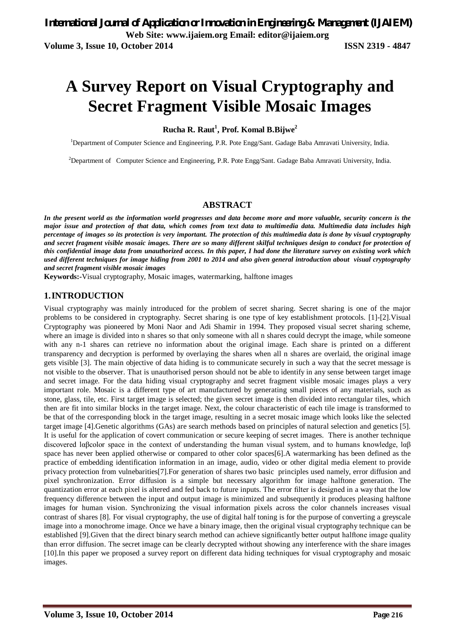# **A Survey Report on Visual Cryptography and Secret Fragment Visible Mosaic Images**

## **Rucha R. Raut<sup>1</sup> , Prof. Komal B.Bijwe<sup>2</sup>**

<sup>1</sup>Department of Computer Science and Engineering, P.R. Pote Engg/Sant. Gadage Baba Amravati University, India.

<sup>2</sup>Department of Computer Science and Engineering, P.R. Pote Engg/Sant. Gadage Baba Amravati University, India.

#### **ABSTRACT**

In the present world as the information world progresses and data become more and more valuable, security concern is the *major issue and protection of that data, which comes from text data to multimedia data. Multimedia data includes high percentage of images so its protection is very important. The protection of this multimedia data is done by visual cryptography and secret fragment visible mosaic images. There are so many different skilful techniques design to conduct for protection of this confidential image data from unauthorized access. In this paper, I had done the literature survey on existing work which used different techniques for image hiding from 2001 to 2014 and also given general introduction about visual cryptography and secret fragment visible mosaic images*

**Keywords:-**Visual cryptography, Mosaic images, watermarking, halftone images

## **1.INTRODUCTION**

Visual cryptography was mainly introduced for the problem of secret sharing. Secret sharing is one of the major problems to be considered in cryptography. Secret sharing is one type of key establishment protocols. [1]-[2].Visual Cryptography was pioneered by Moni Naor and Adi Shamir in 1994. They proposed visual secret sharing scheme, where an image is divided into n shares so that only someone with all n shares could decrypt the image, while someone with any n-1 shares can retrieve no information about the original image. Each share is printed on a different transparency and decryption is performed by overlaying the shares when all n shares are overlaid, the original image gets visible [3]. The main objective of data hiding is to communicate securely in such a way that the secret message is not visible to the observer. That is unauthorised person should not be able to identify in any sense between target image and secret image. For the data hiding visual cryptography and secret fragment visible mosaic images plays a very important role. Mosaic is a different type of art manufactured by generating small pieces of any materials, such as stone, glass, tile, etc. First target image is selected; the given secret image is then divided into rectangular tiles, which then are fit into similar blocks in the target image. Next, the colour characteristic of each tile image is transformed to be that of the corresponding block in the target image, resulting in a secret mosaic image which looks like the selected target image [4].Genetic algorithms (GAs) are search methods based on principles of natural selection and genetics [5]. It is useful for the application of covert communication or secure keeping of secret images. There is another technique discovered lαβcolor space in the context of understanding the human visual system, and to humans knowledge, lαβ space has never been applied otherwise or compared to other color spaces[6].A watermarking has been defined as the practice of embedding identification information in an image, audio, video or other digital media element to provide privacy protection from vulnebarities[7].For generation of shares two basic principles used namely, error diffusion and pixel synchronization. Error diffusion is a simple but necessary algorithm for image halftone generation. The quantization error at each pixel is altered and fed back to future inputs. The error filter is designed in a way that the low frequency difference between the input and output image is minimized and subsequently it produces pleasing halftone images for human vision. Synchronizing the visual information pixels across the color channels increases visual contrast of shares [8]. For visual cryptography, the use of digital half toning is for the purpose of converting a greyscale image into a monochrome image. Once we have a binary image, then the original visual cryptography technique can be established [9].Given that the direct binary search method can achieve significantly better output halftone image quality than error diffusion. The secret image can be clearly decrypted without showing any interference with the share images [10].In this paper we proposed a survey report on different data hiding techniques for visual cryptography and mosaic images.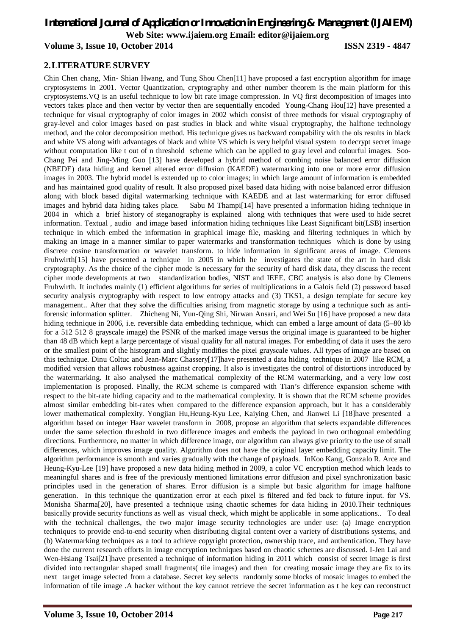# *International Journal of Application or Innovation in Engineering & Management (IJAIEM)* **Web Site: www.ijaiem.org Email: editor@ijaiem.org**

# **Volume 3, Issue 10, October 2014 ISSN 2319 - 4847**

# **2.LITERATURE SURVEY**

Chin Chen chang, Min- Shian Hwang, and Tung Shou Chen[11] have proposed a fast encryption algorithm for image cryptosystems in 2001. Vector Quantization, cryptography and other number theorem is the main platform for this cryptosystems.VQ is an useful technique to low bit rate image compression. In VQ first decomposition of images into vectors takes place and then vector by vector then are sequentially encoded Young-Chang Hou[12] have presented a technique for visual cryptography of color images in 2002 which consist of three methods for visual cryptography of gray-level and color images based on past studies in black and white visual cryptography, the halftone technology method, and the color decomposition method. His technique gives us backward compability with the ols results in black and white VS along with advantages of black and white VS which is very helpful visual system to decrypt secret image without computation like t out of n threshold scheme which can be applied to gray level and colourful images. Soo-Chang Pei and Jing-Ming Guo [13] have developed a hybrid method of combing noise balanced error diffusion (NBEDE) data hiding and kernel altered error diffusion (KAEDE) watermarking into one or more error diffusion images in 2003. The hybrid model is extended up to color images; in which large amount of information is embedded and has maintained good quality of result. It also proposed pixel based data hiding with noise balanced error diffusion along with block based digital watermarking technique with KAEDE and at last watermarking for error diffused images and hybrid data hiding takes place. Sabu M Thampi[14] have presented a information hiding technique in 2004 in which a brief history of steganography is explained along with techniques that were used to hide secret information. Textual , audio and image based information hiding techniques like Least Significant bit(LSB) insertion technique in which embed the information in graphical image file, masking and filtering techniques in which by making an image in a manner similar to paper watermarks and transformation techniques which is done by using discrete cosine transformation or wavelet transform. to hide information in significant areas of image. Clemens Fruhwirth[15] have presented a technique in 2005 in which he investigates the state of the art in hard disk cryptography. As the choice of the cipher mode is necessary for the security of hard disk data, they discuss the recent cipher mode developments at two standardization bodies, NIST and IEEE. CBC analysis is also done by Clemens Fruhwirth. It includes mainly (1) efficient algorithms for series of multiplications in a Galois field (2) password based security analysis cryptography with respect to low entropy attacks and (3) TKS1, a design template for secure key management.. After that they solve the difficulties arising from magnetic storage by using a technique such as antiforensic information splitter. Zhicheng Ni, Yun-Qing Shi, Nirwan Ansari, and Wei Su [16] have proposed a new data hiding technique in 2006, i.e. reversible data embedding technique, which can embed a large amount of data (5–80 kb) for a 512 512 8 grayscale image) the PSNR of the marked image versus the original image is guaranteed to be higher than 48 dB which kept a large percentage of visual quality for all natural images. For embedding of data it uses the zero or the smallest point of the histogram and slightly modifies the pixel grayscale values. All types of image are based on this technique. Dinu Coltuc and Jean-Marc Chassery[17]have presented a data hiding technique in 2007 like RCM, a modified version that allows robustness against cropping. It also is investigates the control of distortions introduced by the watermarking. It also analysed the mathematical complexity of the RCM watermarking, and a very low cost implementation is proposed. Finally, the RCM scheme is compared with Tian's difference expansion scheme with respect to the bit-rate hiding capacity and to the mathematical complexity. It is shown that the RCM scheme provides almost similar embedding bit-rates when compared to the difference expansion approach, but it has a considerably lower mathematical complexity. Yongjian Hu,Heung-Kyu Lee, Kaiying Chen, and Jianwei Li [18]have presented a algorithm based on integer Haar wavelet transform in 2008, propose an algorithm that selects expandable differences under the same selection threshold in two difference images and embeds the payload in two orthogonal embedding directions. Furthermore, no matter in which difference image, our algorithm can always give priority to the use of small differences, which improves image quality. Algorithm does not have the original layer embedding capacity limit. The algorithm performance is smooth and varies gradually with the change of payloads. InKoo Kang, Gonzalo R. Arce and Heung-Kyu-Lee [19] have proposed a new data hiding method in 2009, a color VC encryption method which leads to meaningful shares and is free of the previously mentioned limitations error diffusion and pixel synchronization basic principles used in the generation of shares. Error diffusion is a simple but basic algorithm for image halftone generation. In this technique the quantization error at each pixel is filtered and fed back to future input. for VS. Monisha Sharma[20], have presented a technique using chaotic schemes for data hiding in 2010.Their techniques basically provide security functions as well as visual check, which might be applicable in some applications.. To deal with the technical challenges, the two major image security technologies are under use: (a) Image encryption techniques to provide end-to-end security when distributing digital content over a variety of distributions systems, and (b) Watermarking techniques as a tool to achieve copyright protection, ownership trace, and authentication. They have done the current research efforts in image encryption techniques based on chaotic schemes are discussed. I-Jen Lai and Wen-Hsiang Tsai[21]have presented a technique of information hiding in 2011 which consist of secret image is first divided into rectangular shaped small fragments( tile images) and then for creating mosaic image they are fix to its next target image selected from a database. Secret key selects randomly some blocks of mosaic images to embed the information of tile image .A hacker without the key cannot retrieve the secret information as t he key can reconstruct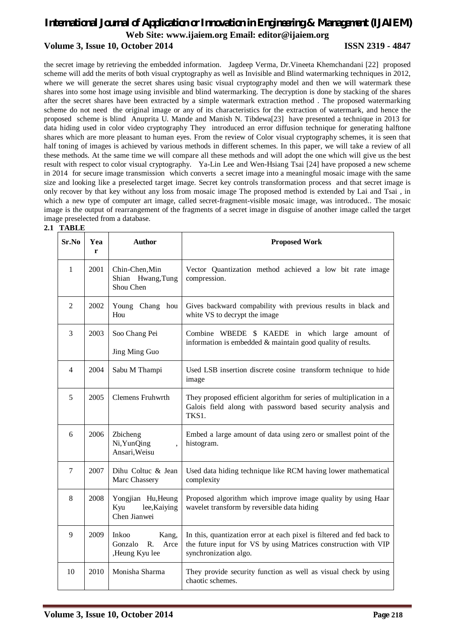# *International Journal of Application or Innovation in Engineering & Management (IJAIEM)* **Web Site: www.ijaiem.org Email: editor@ijaiem.org Volume 3, Issue 10, October 2014 ISSN 2319 - 4847**

the secret image by retrieving the embedded information. Jagdeep Verma, Dr.Vineeta Khemchandani [22] proposed scheme will add the merits of both visual cryptography as well as Invisible and Blind watermarking techniques in 2012, where we will generate the secret shares using basic visual cryptography model and then we will watermark these shares into some host image using invisible and blind watermarking. The decryption is done by stacking of the shares after the secret shares have been extracted by a simple watermark extraction method . The proposed watermarking scheme do not need the original image or any of its characteristics for the extraction of watermark, and hence the proposed scheme is blind Anuprita U. Mande and Manish N. Tibdewa[23] have presented a technique in 2013 for data hiding used in color video cryptography They introduced an error diffusion technique for generating halftone shares which are more pleasant to human eyes. From the review of Color visual cryptography schemes, it is seen that half toning of images is achieved by various methods in different schemes. In this paper, we will take a review of all these methods. At the same time we will compare all these methods and will adopt the one which will give us the best result with respect to color visual cryptography. Ya-Lin Lee and Wen-Hsiang Tsai [24] have proposed a new scheme in 2014 for secure image transmission which converts a secret image into a meaningful mosaic image with the same size and looking like a preselected target image. Secret key controls transformation process and that secret image is only recover by that key without any loss from mosaic image The proposed method is extended by Lai and Tsai , in which a new type of computer art image, called secret-fragment-visible mosaic image, was introduced.. The mosaic image is the output of rearrangement of the fragments of a secret image in disguise of another image called the target image preselected from a database.

| Sr.No          | Yea<br>r | <b>Author</b>                                                    | <b>Proposed Work</b>                                                                                                                                              |
|----------------|----------|------------------------------------------------------------------|-------------------------------------------------------------------------------------------------------------------------------------------------------------------|
| $\mathbf{1}$   | 2001     | Chin-Chen, Min<br>Shian Hwang, Tung<br>Shou Chen                 | Vector Quantization method achieved a low bit rate image<br>compression.                                                                                          |
| $\overline{2}$ | 2002     | Young Chang hou<br>Hou                                           | Gives backward compability with previous results in black and<br>white VS to decrypt the image                                                                    |
| 3              | 2003     | Soo Chang Pei<br>Jing Ming Guo                                   | Combine WBEDE \$ KAEDE in which large amount of<br>information is embedded & maintain good quality of results.                                                    |
| $\overline{4}$ | 2004     | Sabu M Thampi                                                    | Used LSB insertion discrete cosine transform technique to hide<br>image                                                                                           |
| 5              | 2005     | <b>Clemens Fruhwrth</b>                                          | They proposed efficient algorithm for series of multiplication in a<br>Galois field along with password based security analysis and<br>TKS1.                      |
| 6              | 2006     | Zbicheng<br>Ni, YunQing<br>Ansari, Weisu                         | Embed a large amount of data using zero or smallest point of the<br>histogram.                                                                                    |
| $\overline{7}$ | 2007     | Dihu Coltuc & Jean<br>Marc Chassery                              | Used data hiding technique like RCM having lower mathematical<br>complexity                                                                                       |
| 8              | 2008     | Yongjian Hu, Heung<br>Kyu<br>lee, Kaiying<br>Chen Jianwei        | Proposed algorithm which improve image quality by using Haar<br>wavelet transform by reversible data hiding                                                       |
| 9              | 2009     | <b>Inkoo</b><br>Kang,<br>R.<br>Gonzalo<br>Arce<br>,Heung Kyu lee | In this, quantization error at each pixel is filtered and fed back to<br>the future input for VS by using Matrices construction with VIP<br>synchronization algo. |
| 10             | 2010     | Monisha Sharma                                                   | They provide security function as well as visual check by using<br>chaotic schemes.                                                                               |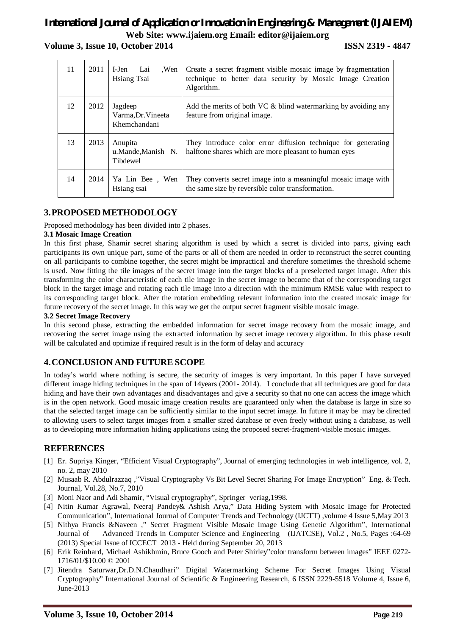# *International Journal of Application or Innovation in Engineering & Management (IJAIEM)* **Web Site: www.ijaiem.org Email: editor@ijaiem.org Volume 3, Issue 10, October 2014 ISSN 2319 - 4847**

| 11 | 2011 | .Wen<br>I-Jen<br>Lai<br>Hsiang Tsai           | Create a secret fragment visible mosaic image by fragmentation<br>technique to better data security by Mosaic Image Creation<br>Algorithm. |
|----|------|-----------------------------------------------|--------------------------------------------------------------------------------------------------------------------------------------------|
| 12 | 2012 | Jagdeep<br>Varma, Dr. Vineeta<br>Khemchandani | Add the merits of both VC $\&$ blind watermarking by avoiding any<br>feature from original image.                                          |
| 13 | 2013 | Anupita<br>u.Mande,Manish N.<br>Tibdewel      | They introduce color error diffusion technique for generating<br>halftone shares which are more pleasant to human eyes                     |
| 14 | 2014 | Ya Lin Bee, Wen<br>Hsiang tsai                | They converts secret image into a meaningful mosaic image with<br>the same size by reversible color transformation.                        |

# **3.PROPOSED METHODOLOGY**

Proposed methodology has been divided into 2 phases.

### **3.1 Mosaic Image Creation**

In this first phase, Shamir secret sharing algorithm is used by which a secret is divided into parts, giving each participants its own unique part, some of the parts or all of them are needed in order to reconstruct the secret counting on all participants to combine together, the secret might be impractical and therefore sometimes the threshold scheme is used. Now fitting the tile images of the secret image into the target blocks of a preselected target image. After this transforming the color characteristic of each tile image in the secret image to become that of the corresponding target block in the target image and rotating each tile image into a direction with the minimum RMSE value with respect to its corresponding target block. After the rotation embedding relevant information into the created mosaic image for future recovery of the secret image. In this way we get the output secret fragment visible mosaic image.

### **3.2 Secret Image Recovery**

In this second phase, extracting the embedded information for secret image recovery from the mosaic image, and recovering the secret image using the extracted information by secret image recovery algorithm. In this phase result will be calculated and optimize if required result is in the form of delay and accuracy

# **4.CONCLUSION AND FUTURE SCOPE**

In today's world where nothing is secure, the security of images is very important. In this paper I have surveyed different image hiding techniques in the span of 14years (2001-2014). I conclude that all techniques are good for data hiding and have their own advantages and disadvantages and give a security so that no one can access the image which is in the open network. Good mosaic image creation results are guaranteed only when the database is large in size so that the selected target image can be sufficiently similar to the input secret image. In future it may be may be directed to allowing users to select target images from a smaller sized database or even freely without using a database, as well as to developing more information hiding applications using the proposed secret-fragment-visible mosaic images.

# **REFERENCES**

- [1] Er. Supriya Kinger, "Efficient Visual Cryptography", Journal of emerging technologies in web intelligence, vol. 2, no. 2, may 2010
- [2] Musaab R. Abdulrazzaq ,"Visual Cryptography Vs Bit Level Secret Sharing For Image Encryption" Eng. & Tech. Journal, Vol.28, No.7, 2010
- [3] Moni Naor and Adi Shamir, "Visual cryptography", Springer veriag,1998.
- [4] Nitin Kumar Agrawal, Neeraj Pandey& Ashish Arya," Data Hiding System with Mosaic Image for Protected Communication", International Journal of Computer Trends and Technology (IJCTT) ,volume 4 Issue 5,May 2013
- [5] Nithya Francis &Naveen ," Secret Fragment Visible Mosaic Image Using Genetic Algorithm", International Journal of Advanced Trends in Computer Science and Engineering (IJATCSE), Vol.2 , No.5, Pages :64-69 (2013) Special Issue of ICCECT 2013 - Held during September 20, 2013
- [6] Erik Reinhard, Michael Ashikhmin, Bruce Gooch and Peter Shirley"color transform between images" IEEE 0272- 1716/01/\$10.00 © 2001
- [7] Jitendra Saturwar,Dr.D.N.Chaudhari" Digital Watermarking Scheme For Secret Images Using Visual Cryptography" International Journal of Scientific & Engineering Research, 6 ISSN 2229-5518 Volume 4, Issue 6, June-2013